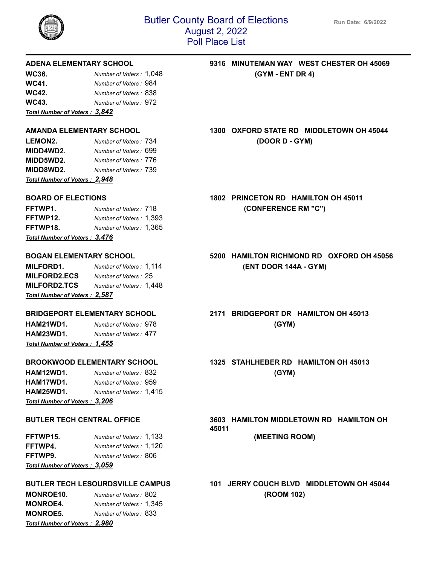

| WC36.                          | Number of Voters: 1,048 |
|--------------------------------|-------------------------|
| WC41.                          | Number of Voters: 984   |
| WC42.                          | Number of Voters: 838   |
| WC43.                          | Number of Voters : 972  |
| Total Number of Voters : 3,842 |                         |

| <b>LEMON2.</b>                 | Number of Voters: 734 |  |
|--------------------------------|-----------------------|--|
| MIDD4WD2.                      | Number of Voters: 699 |  |
| <b>MIDD5WD2.</b>               | Number of Voters: 776 |  |
| <b>MIDD8WD2.</b>               | Number of Voters: 739 |  |
| Total Number of Voters : 2,948 |                       |  |

| <u> Total Number of Voters : 3,476</u> |                         |
|----------------------------------------|-------------------------|
| FFTWP18.                               | Number of Voters: 1,365 |
| FFTWP12.                               | Number of Voters: 1,393 |
| FFTWP1.                                | Number of Voters : 718  |

**MILFORD1.** *Number of Voters :* 1,114 **(ENT DOOR 144A - GYM) MILFORD2.ECS** *Number of Voters :* 25 **MILFORD2.TCS** *Number of Voters :* 1,448 *Total Number of Voters : 2,587*

**HAM21WD1.** *Number of Voters :* 978 **(GYM) HAM23WD1.** *Number of Voters :* 477 *Total Number of Voters : 1,455*

| HAM12WD1.                     | Number of Voters : 832  | (GYM) |
|-------------------------------|-------------------------|-------|
| HAM17WD1.                     | Number of Voters : 959  |       |
| HAM25WD1.                     | Number of Voters: 1,415 |       |
| Total Number of Voters: 3,206 |                         |       |

| Total Number of Voters: 3,059 |                         |
|-------------------------------|-------------------------|
| FFTWP9.                       | Number of Voters : 806  |
| FFTWP4.                       | Number of Voters: 1,120 |
| FFTWP15.                      | Number of Voters: 1,133 |

| <b>MONROE10.</b>                     | Number of Voters: 802   |
|--------------------------------------|-------------------------|
| <b>MONROE4.</b>                      | Number of Voters: 1,345 |
| <b>MONROE5.</b>                      | Number of Voters: 833   |
| <b>Total Number of Voters: 2,980</b> |                         |

## **ADENA ELEMENTARY SCHOOL 9316 MINUTEMAN WAY WEST CHESTER OH 45069 WE36.** *Number of GYM - ENT DR 4***)**

**AMANDA ELEMENTARY SCHOOL 1300 OXFORD STATE RD MIDDLETOWN OH 45044 LEMON2.** *Number of Voters :* 734 **(DOOR D - GYM)**

**BOARD OF ELECTIONS 1802 PRINCETON RD HAMILTON OH 45011 FFTWP1.** *Number of Voters :* 718 **(CONFERENCE RM "C")**

**BOGAN ELEMENTARY SCHOOL 5200 HAMILTON RICHMOND RD OXFORD OH 45056**

**BRIDGEPORT ELEMENTARY SCHOOL 2171 BRIDGEPORT DR HAMILTON OH 45013**

**BROOKWOOD ELEMENTARY SCHOOL 1325 STAHLHEBER RD HAMILTON OH 45013**

**BUTLER TECH CENTRAL OFFICE 3603 HAMILTON MIDDLETOWN RD HAMILTON OH 45011 FFTWP15.** *Number of Voters :* 1,133 **(MEETING ROOM)**

**BUTLER TECH LESOURDSVILLE CAMPUS 101 JERRY COUCH BLVD MIDDLETOWN OH 45044 MONROE10.** *Number of Voters :* 802 **(ROOM 102)**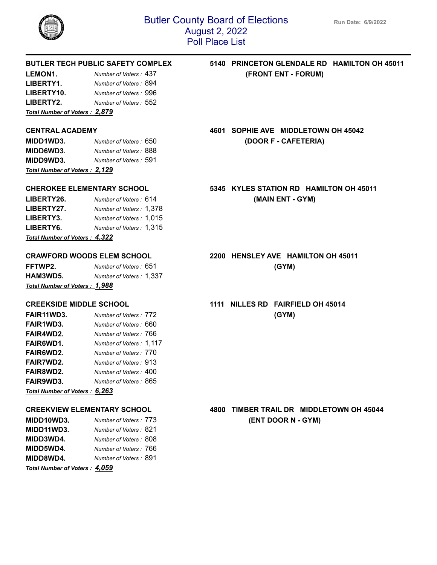

| <b>Total Number of Voters: 2,879</b> |                       |
|--------------------------------------|-----------------------|
| LIBERTY2.                            | Number of Voters: 552 |
| LIBERTY10.                           | Number of Voters: 996 |
| LIBERTY1.                            | Number of Voters: 894 |
| LEMON1.                              | Number of Voters: 437 |

| <b>Total Number of Voters: 2,129</b> |                        |  |
|--------------------------------------|------------------------|--|
| MIDD9WD3.                            | Number of Voters: 591  |  |
| <b>MIDD6WD3.</b>                     | Number of Voters: 888  |  |
| MIDD1WD3.                            | Number of Voters : 650 |  |

| LIBERTY26.<br>LIBERTY27.             | Number of Voters: 614<br>Number of Voters: 1,378 |
|--------------------------------------|--------------------------------------------------|
| LIBERTY3.                            | Number of Voters: 1,015                          |
| LIBERTY6.                            | Number of Voters: 1,315                          |
| <b>Total Number of Voters: 4,322</b> |                                                  |

**FFTWP2.** *Number of Voters :* 651 **(GYM) HAM3WD5.** *Number of Voters :* 1,337 *Total Number of Voters : 1,988*

| FAIR11WD3.                    | Number of Voters: 772   | (GYM) |
|-------------------------------|-------------------------|-------|
| FAIR1WD3.                     | Number of Voters : 660  |       |
| FAIR4WD2.                     | Number of Voters: 766   |       |
| FAIR6WD1.                     | Number of Voters: 1,117 |       |
| <b>FAIR6WD2.</b>              | Number of Voters : 770  |       |
| <b>FAIR7WD2.</b>              | Number of Voters: 913   |       |
| <b>FAIR8WD2.</b>              | Number of Voters : 400  |       |
| <b>FAIR9WD3.</b>              | Number of Voters: 865   |       |
| Total Number of Voters: 6,263 |                         |       |

| MIDD10WD3.                         | Number of Voters: 773 |
|------------------------------------|-----------------------|
| <b>MIDD11WD3.</b>                  | Number of Voters: 821 |
| <b>MIDD3WD4.</b>                   | Number of Voters: 808 |
| <b>MIDD5WD4.</b>                   | Number of Voters: 766 |
| <b>MIDD8WD4.</b>                   | Number of Voters: 891 |
| $T_{odd}$ Number of Vators , A OEO |                       |

*Total Number of Voters : 4,059*

## **BUTLER TECH PUBLIC SAFETY COMPLEX 5140 PRINCETON GLENDALE RD HAMILTON OH 45011 LEMON1.** *Number of Voters :* 437 **(FRONT ENT - FORUM)**

**CENTRAL ACADEMY 4601 SOPHIE AVE MIDDLETOWN OH 45042 MIDD1WD3.** *Number of Voters :* 650 **(DOOR F - CAFETERIA)**

**CHEROKEE ELEMENTARY SCHOOL 5345 KYLES STATION RD HAMILTON OH 45011 (MAIN ENT - GYM)** 

**CRAWFORD WOODS ELEM SCHOOL 2200 HENSLEY AVE HAMILTON OH 45011**

## **CREEKSIDE MIDDLE SCHOOL 1111 NILLES RD FAIRFIELD OH 45014**

**CREEKVIEW ELEMENTARY SCHOOL 4800 TIMBER TRAIL DR MIDDLETOWN OH 45044 MIDD10WD3.** *Number of Voters :* 773 **(ENT DOOR N - GYM)**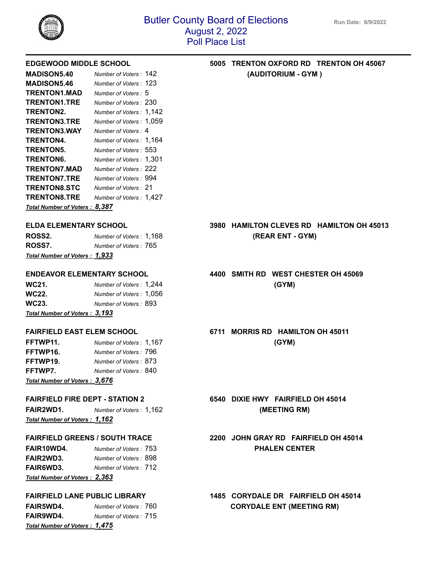

| <b>MADISON5.40</b>            | Number of Voters: 142   |
|-------------------------------|-------------------------|
| <b>MADISON5.46</b>            | Number of Voters : 123  |
| <b>TRENTON1.MAD</b>           | Number of Voters: 5     |
| <b>TRENTON1.TRE</b>           | Number of Voters: 230   |
| <b>TRENTON2.</b>              | Number of Voters: 1,142 |
| <b>TRENTON3.TRE</b>           | Number of Voters: 1,059 |
| <b>TRENTON3.WAY</b>           | Number of Voters: 4     |
| TRENTON4.                     | Number of Voters: 1,164 |
| <b>TRENTON5.</b>              | Number of Voters:553    |
| TRENTON6.                     | Number of Voters: 1,301 |
| <b>TRENTON7.MAD</b>           | Number of Voters : 222  |
| <b>TRENTON7.TRE</b>           | Number of Voters : 994  |
| <b>TRENTON8.STC</b>           | Number of Voters: 21    |
| <b>TRENTON8.TRE</b>           | Number of Voters: 1,427 |
| Total Number of Voters: 8,387 |                         |

| Total Number of Voters: 1,933 |                         |  |
|-------------------------------|-------------------------|--|
| ROSS7.                        | Number of Voters : 765  |  |
| ROSS2.                        | Number of Voters: 1,168 |  |

**WC21.** *Number of Voters :* 1,244 **(GYM) WC22.** *Number of Voters :* 1,056 **WC23.** *Number of Voters :* 893 *Total Number of Voters : 3,193*

| FFTWP11.                      | Number of Voters: 1,167 | (GYM) |
|-------------------------------|-------------------------|-------|
| FFTWP16.                      | Number of Voters : 796  |       |
| FFTWP19.                      | Number of Voters: 873   |       |
| FFTWP7.                       | Number of Voters : 840  |       |
| Total Number of Voters: 3,676 |                         |       |

**FAIR2WD1.** *Number of Voters :* 1,162 **(MEETING RM)** *Total Number of Voters : 1,162*

**FAIR10WD4.** *Number of Voters :* 753 **PHALEN CENTER FAIR2WD3.** *Number of Voters :* 898 **FAIR6WD3.** *Number of Voters :* 712 *Total Number of Voters : 2,363*

**FAIR5WD4.** *Number of Voters :* 760 **CORYDALE ENT (MEETING RM) FAIR9WD4.** *Number of Voters :* 715 *Total Number of Voters : 1,475*

## **EDGEWOOD MIDDLE SCHOOL 5005 TRENTON OXFORD RD TRENTON OH 45067 MADISON5.40** *Number of Voters :* 142 **(AUDITORIUM - GYM )**

## **ELDA ELEMENTARY SCHOOL 3980 HAMILTON CLEVES RD HAMILTON OH 45013 ROSS2.** *Number of Voters :* 1,168 **(REAR ENT - GYM)**

## **ENDEAVOR ELEMENTARY SCHOOL 4400 SMITH RD WEST CHESTER OH 45069**

**FAIRFIELD EAST ELEM SCHOOL 6711 MORRIS RD HAMILTON OH 45011**

**FAIRFIELD FIRE DEPT - STATION 2 6540 DIXIE HWY FAIRFIELD OH 45014**

## **FAIRFIELD GREENS / SOUTH TRACE 2200 JOHN GRAY RD FAIRFIELD OH 45014**

**FAIRFIELD LANE PUBLIC LIBRARY 1485 CORYDALE DR FAIRFIELD OH 45014**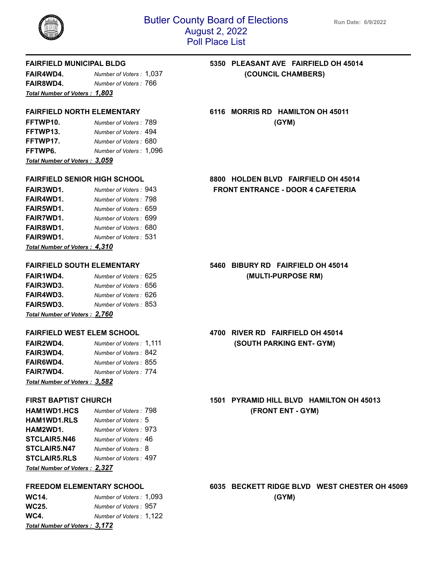

**FAIR4WD4.** *Number of Voters :* 1,037 **(COUNCIL CHAMBERS) FAIR8WD4.** *Number of Voters :* 766 *Total Number of Voters : 1,803*

| FFTWP10.                      | Number of Voters: 789   | (GYM) |
|-------------------------------|-------------------------|-------|
| FFTWP13.                      | Number of Voters: 494   |       |
| FFTWP17.                      | Number of Voters : 680  |       |
| FFTWP6.                       | Number of Voters: 1,096 |       |
| Total Number of Voters: 3,059 |                         |       |

| <b>FAIR3WD1.</b>               | Number of Voters: 943  |
|--------------------------------|------------------------|
| FAIR4WD1.                      | Number of Voters: 798  |
| FAIR5WD1.                      | Number of Voters : 659 |
| <b>FAIR7WD1.</b>               | Number of Voters: 699  |
| FAIR8WD1.                      | Number of Voters : 680 |
| FAIR9WD1.                      | Number of Voters : 531 |
| Total Number of Voters : 4,310 |                        |

| <b>FAIR3WD3.</b><br>FAIR4WD3. | Number of Voters: 656<br>Number of Voters: 626 |
|-------------------------------|------------------------------------------------|
| <b>FAIR5WD3.</b>              | Number of Voters: 853                          |
|                               |                                                |

*Total Number of Voters : 2,760*

| <b>FAIR2WD4.</b>              | Number of Voters: 1,11 |  |
|-------------------------------|------------------------|--|
| FAIR3WD4.                     | Number of Voters: 842  |  |
| <b>FAIR6WD4.</b>              | Number of Voters: 855  |  |
| <b>FAIR7WD4.</b>              | Number of Voters: 774  |  |
| Total Number of Voters: 3,582 |                        |  |

| HAM1WD1.HCS                   | Number of Voters: 798 |
|-------------------------------|-----------------------|
| HAM1WD1.RLS                   | Number of Voters: 5   |
| HAM2WD1.                      | Number of Voters: 973 |
| <b>STCLAIR5.N46</b>           | Number of Voters: 46  |
| <b>STCLAIR5.N47</b>           | Number of Voters: 8   |
| <b>STCLAIR5.RLS</b>           | Number of Voters: 497 |
| Total Number of Voters: 2,327 |                       |

| WC14.                         | Number of Voters: 1,093 | (GYM) |
|-------------------------------|-------------------------|-------|
| WC25.                         | Number of Voters: 957   |       |
| WC4.                          | Number of Voters: 1,122 |       |
| Total Number of Voters: 3,172 |                         |       |

# **FAIRFIELD MUNICIPAL BLDG 5350 PLEASANT AVE FAIRFIELD OH 45014**

## **FAIRFIELD NORTH ELEMENTARY 6116 MORRIS RD HAMILTON OH 45011**

## **FAIRFIELD SENIOR HIGH SCHOOL 8800 HOLDEN BLVD FAIRFIELD OH 45014 FAIR3WD1.** *Number of Voters :* 943 **FRONT ENTRANCE - DOOR 4 CAFETERIA**

## **FAIRFIELD SOUTH ELEMENTARY 5460 BIBURY RD FAIRFIELD OH 45014 FAIR1WD4.** *Number of Voters :* 625 **(MULTI-PURPOSE RM)**

## **FAIRFIELD WEST ELEM SCHOOL 4700 RIVER RD FAIRFIELD OH 45014 Fair of Allegate COVEY ISOUTH PARKING ENT- GYM)**

## **FIRST BAPTIST CHURCH 1501 PYRAMID HILL BLVD HAMILTON OH 45013 HAM1WD1.HCS** *Number of Voters :* 798 **(FRONT ENT - GYM)**

# **FREEDOM ELEMENTARY SCHOOL 6035 BECKETT RIDGE BLVD WEST CHESTER OH 45069**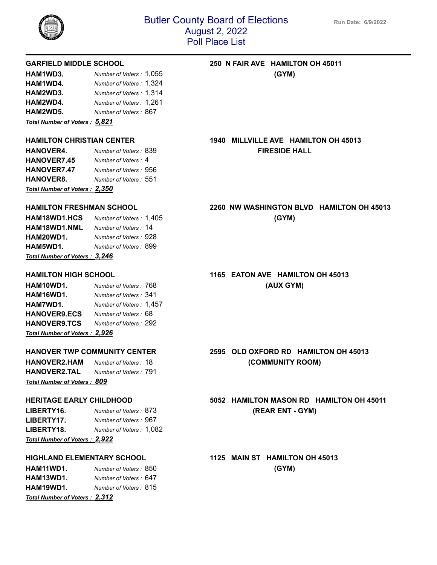

| HAM1WD3.                             | Number of Voters: 1,055 | (GYM) |
|--------------------------------------|-------------------------|-------|
| HAM1WD4.                             | Number of Voters: 1,324 |       |
| HAM2WD3.                             | Number of Voters: 1,314 |       |
| HAM2WD4.                             | Number of Voters: 1,261 |       |
| HAM2WD5.                             | Number of Voters: 867   |       |
| Total Number of Vatora $\cdot$ 5.821 |                         |       |

*Total Number of Voters : 5,821*

| <b>HANOVER4.</b>               | Number of Voters: 839 |
|--------------------------------|-----------------------|
| <b>HANOVER7.45</b>             | Number of Voters: 4   |
| <b>HANOVER7.47</b>             | Number of Voters: 956 |
| <b>HANOVER8.</b>               | Number of Voters: 551 |
| Total Number of Voters : 2,350 |                       |

| <b>HAM18WD1.HCS</b>                    | Number of Voters: 1,405 | (GYM) |
|----------------------------------------|-------------------------|-------|
| <b>HAM18WD1.NML</b>                    | Number of Voters: 14    |       |
| HAM20WD1.                              | Number of Voters: 928   |       |
| HAM5WD1.                               | Number of Voters: 899   |       |
| <u> Total Number of Voters : 3,246</u> |                         |       |

**HAM10WD1.** *Number of Voters :* 768 **(AUX GYM) HAM16WD1.** *Number of Voters :* 341 **HAM7WD1.** *Number of Voters :* 1,457 **HANOVER9.ECS** *Number of Voters :* 68 **HANOVER9.TCS** *Number of Voters :* 292 *Total Number of Voters : 2,926*

**HANOVER2.HAM** *Number of Voters :* 18 **(COMMUNITY ROOM) HANOVER2.TAL** *Number of Voters :* 791 *Total Number of Voters : 809*

| <b>Total Number of Voters: 2,922</b> |                         |
|--------------------------------------|-------------------------|
| LIBERTY18.                           | Number of Voters: 1,082 |
| LIBERTY17.                           | Number of Voters: 967   |
| LIBERTY16.                           | Number of Voters: 873   |

## **HIGHLAND ELEMENTARY SCHOOL 1125 MAIN ST HAMILTON OH 45013**

**HAM11WD1.** *Number of Voters :* 850 **(GYM) HAM13WD1.** *Number of Voters :* 647 **HAM19WD1.** *Number of Voters :* 815 *Total Number of Voters : 2,312*

## **GARFIELD MIDDLE SCHOOL 250 N FAIR AVE HAMILTON OH 45011**

**HAMILTON CHRISTIAN CENTER 1940 MILLVILLE AVE HAMILTON OH 45013 HANOVER4.** *Number of Voters :* 839 **FIRESIDE HALL**

## **HAMILTON FRESHMAN SCHOOL 2260 NW WASHINGTON BLVD HAMILTON OH 45013**

## **HAMILTON HIGH SCHOOL 1165 EATON AVE HAMILTON OH 45013**

## **HANOVER TWP COMMUNITY CENTER 2595 OLD OXFORD RD HAMILTON OH 45013**

## **HERITAGE EARLY CHILDHOOD 5052 HAMILTON MASON RD HAMILTON OH 45011 LIBERTY16.** *Number of Voters :* 873 **(REAR ENT - GYM)**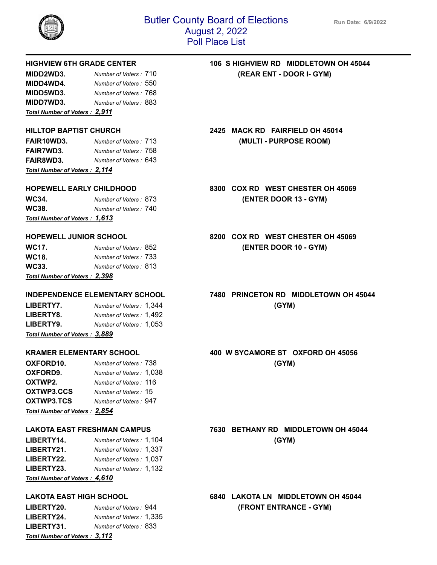

| MIDD2WD3.                            | Number of Voters: 710  |
|--------------------------------------|------------------------|
| MIDD4WD4.                            | Number of Voters : 550 |
| MIDD5WD3.                            | Number of Voters: 768  |
| MIDD7WD3.                            | Number of Voters: 883  |
| <b>Total Number of Voters: 2,911</b> |                        |

| <u> Total Number of Voters : 2,114</u> |                        |  |
|----------------------------------------|------------------------|--|
| <b>FAIR8WD3.</b>                       | Number of Voters : 643 |  |
| <b>FAIR7WD3.</b>                       | Number of Voters: 758  |  |
| <b>FAIR10WD3.</b>                      | Number of Voters: 713  |  |

| Total Number of Voters: 1,613 |                       |  |
|-------------------------------|-----------------------|--|
| WC38.                         | Number of Voters: 740 |  |
| WC34.                         | Number of Voters: 873 |  |

| Total Number of Voters: 2,398 |                        |
|-------------------------------|------------------------|
| WC33.                         | Number of Voters : 813 |
| WC18.                         | Number of Voters: 733  |
| WC17.                         | Number of Voters: 852  |

| <b>LIBERTY7.</b>              | Number of Voters: 1,344 | (GYM) |
|-------------------------------|-------------------------|-------|
| <b>LIBERTY8.</b>              | Number of Voters: 1,492 |       |
| LIBERTY9.                     | Number of Voters: 1,053 |       |
| Total Number of Voters: 3,889 |                         |       |

| OXFORD10.                     | Number of Voters : 738  | (GYM) |
|-------------------------------|-------------------------|-------|
| OXFORD9.                      | Number of Voters: 1,038 |       |
| OXTWP2.                       | Number of Voters: 116   |       |
| OXTWP3.CCS                    | Number of Voters: 15    |       |
| OXTWP3.TCS                    | Number of Voters: 947   |       |
| Total Number of Voters: 2,854 |                         |       |

| LIBERTY14.                    | Number of Voters: 1,104 | (GYM) |
|-------------------------------|-------------------------|-------|
| LIBERTY21.                    | Number of Voters: 1,337 |       |
| <b>LIBERTY22.</b>             | Number of Voters: 1.037 |       |
| <b>LIBERTY23.</b>             | Number of Voters: 1,132 |       |
| Total Number of Voters: 4,610 |                         |       |

| <b>LIBERTY20.</b>             | Number of Voters: 944   |
|-------------------------------|-------------------------|
| LIBERTY24.                    | Number of Voters: 1,335 |
| LIBERTY31.                    | Number of Voters: 833   |
| Total Number of Voters: 3,112 |                         |

**HIGHVIEW 6TH GRADE CENTER 106 S HIGHVIEW RD MIDDLETOWN OH 45044 MIDD2WD3.** *Number of Voters :* 710 **(REAR ENT - DOOR I- GYM)**

**HILLTOP BAPTIST CHURCH 2425 MACK RD FAIRFIELD OH 45014 FAIR10WD3.** *Number of Voters :* 713 **(MULTI - PURPOSE ROOM)**

**HOPEWELL EARLY CHILDHOOD 8300 COX RD WEST CHESTER OH 45069 WC34.** *Number of Voters :* 873 **(ENTER DOOR 13 - GYM)**

**HOPEWELL JUNIOR SCHOOL 8200 COX RD WEST CHESTER OH 45069 WC17.** *Number of Voters :* 852 **(ENTER DOOR 10 - GYM)**

**INDEPENDENCE ELEMENTARY SCHOOL 7480 PRINCETON RD MIDDLETOWN OH 45044**

**KRAMER ELEMENTARY SCHOOL 400 W SYCAMORE ST OXFORD OH 45056**

**LAKOTA EAST FRESHMAN CAMPUS 7630 BETHANY RD MIDDLETOWN OH 45044**

**LAKOTA EAST HIGH SCHOOL 6840 LAKOTA LN MIDDLETOWN OH 45044 LIBERTY20.** *Number of Voters :* 944 **(FRONT ENTRANCE - GYM)**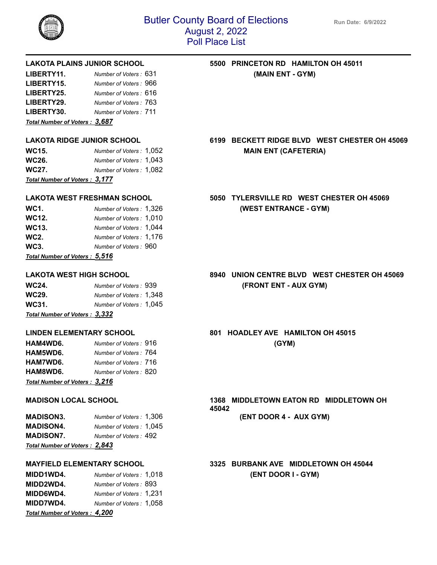

| LIBERTY30. | Number of Voters : 711 |
|------------|------------------------|
| LIBERTY29. | Number of Voters: 763  |
| LIBERTY25. | Number of Voters: 616  |
| LIBERTY15. | Number of Voters: 966  |
| LIBERTY11. | Number of Voters: 631  |

*Total Number of Voters : 3,687*

| <u> Total Number of Voters : 3,177</u> |                         |  |
|----------------------------------------|-------------------------|--|
| WC27.                                  | Number of Voters: 1,082 |  |
| WC26.                                  | Number of Voters: 1.043 |  |
| WC15.                                  | Number of Voters: 1,052 |  |

| WC1.                                   | Number of Voters: 1,326 |
|----------------------------------------|-------------------------|
| WC12.                                  | Number of Voters: 1,010 |
| WC13.                                  | Number of Voters: 1,044 |
| WC2.                                   | Number of Voters: 1,176 |
| WC3.                                   | Number of Voters: 960   |
| <u> Total Number of Voters : 5,516</u> |                         |

| WC24.                                                                                                                | Number of Voters: 939   |
|----------------------------------------------------------------------------------------------------------------------|-------------------------|
| WC29.                                                                                                                | Number of Voters: 1,348 |
| WC31.                                                                                                                | Number of Voters: 1,045 |
| $T_{11}$ $T_{22}$ $T_{33}$ $T_{41}$ $T_{42}$ $T_{43}$ $T_{44}$ $T_{45}$ $T_{46}$ $T_{47}$ $T_{48}$ $T_{49}$ $T_{40}$ |                         |

*Total Number of Voters : 3,332*

| HAM4WD6.                      | Number of Voters: 916  | (GYM) |
|-------------------------------|------------------------|-------|
| HAM5WD6.                      | Number of Voters : 764 |       |
| HAM7WD6.                      | Number of Voters : 716 |       |
| HAM8WD6.                      | Number of Voters : 820 |       |
| Total Number of Voters: 3,216 |                        |       |

| Total Number of Voters: 2,843 |                         |
|-------------------------------|-------------------------|
| <b>MADISON7.</b>              | Number of Voters: 492   |
| <b>MADISON4.</b>              | Number of Voters: 1.045 |
| <b>MADISON3.</b>              | Number of Voters: 1,306 |

**MIDD1WD4.** *Number of Voters :* 1,018 **(ENT DOOR I - GYM) MIDD2WD4.** *Number of Voters :* 893 **MIDD6WD4.** *Number of Voters :* 1,231 **MIDD7WD4.** *Number of Voters :* 1,058 *Total Number of Voters : 4,200*

## **LAKOTA PLAINS JUNIOR SCHOOL 5500 PRINCETON RD HAMILTON OH 45011 (MAIN ENT - GYM)**

**LAKOTA RIDGE JUNIOR SCHOOL 6199 BECKETT RIDGE BLVD WEST CHESTER OH 45069 MAIN ENT (CAFETERIA)** 

## **LAKOTA WEST FRESHMAN SCHOOL 5050 TYLERSVILLE RD WEST CHESTER OH 45069** *Number of Voters in August : 1,326 (WEST ENTRANCE - GYM)*

## **LAKOTA WEST HIGH SCHOOL 8940 UNION CENTRE BLVD WEST CHESTER OH 45069 WC24.** *Number of Voters :* 939 **(FRONT ENT - AUX GYM)**

**LINDEN ELEMENTARY SCHOOL 801 HOADLEY AVE HAMILTON OH 45015**

**MADISON LOCAL SCHOOL 1368 MIDDLETOWN EATON RD MIDDLETOWN OH 45042 MADISON3.** *Number of Voters :* 1,306 **(ENT DOOR 4 - AUX GYM)**

**MAYFIELD ELEMENTARY SCHOOL 3325 BURBANK AVE MIDDLETOWN OH 45044**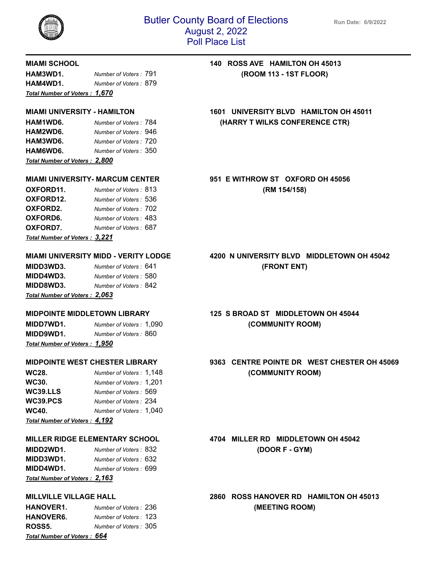

| HAM3WD1.                                | Number of Voters: 791 |  |
|-----------------------------------------|-----------------------|--|
| HAM4WD1.                                | Number of Voters: 879 |  |
| <u> Total Number of Voters : </u> 1,670 |                       |  |

| Total Number of Voters: 2,800 |                       |  |
|-------------------------------|-----------------------|--|
| HAM6WD6.                      | Number of Voters: 350 |  |
| HAM3WD6.                      | Number of Voters: 720 |  |
| HAM2WD6.                      | Number of Voters: 946 |  |
| HAM1WD6.                      | Number of Voters: 784 |  |

| OXFORD11.                      | Number of Voters: 813  |
|--------------------------------|------------------------|
| OXFORD12.                      | Number of Voters : 536 |
| OXFORD <sub>2</sub> .          | Number of Voters: 702  |
| OXFORD6.                       | Number of Voters: 483  |
| OXFORD7.                       | Number of Voters: 687  |
| Total Number of Voters : 3,221 |                        |

**MIDD3WD3.** *Number of Voters :* 641 **(FRONT ENT) MIDD4WD3.** *Number of Voters :* 580 **MIDD8WD3.** *Number of Voters :* 842 *Total Number of Voters : 2,063*

**MIDD7WD1.** *Number of Voters :* 1,090 **(COMMUNITY ROOM) MIDD9WD1.** *Number of Voters :* 860 *Total Number of Voters : 1,950*

| WC28.                                 | Number of Voters: 1,148 |
|---------------------------------------|-------------------------|
| WC30.                                 | Number of Voters: 1,201 |
| WC39.LLS                              | Number of Voters: 569   |
| WC39.PCS                              | Number of Voters: 234   |
| WC40.                                 | Number of Voters: 1,040 |
| <b>Total Number of Voters : 4,192</b> |                         |

**MIDD2WD1.** *Number of Voters :* 832 **(DOOR F - GYM) MIDD3WD1.** *Number of Voters :* 632 **MIDD4WD1.** *Number of Voters :* 699 *Total Number of Voters : 2,163*

| <b>HANOVER1.</b>                   | Number of Voters: 236  |
|------------------------------------|------------------------|
| HANOVER6.                          | Number of Voters : 123 |
| ROSS5.                             | Number of Voters : 305 |
| <b>Total Number of Voters: 664</b> |                        |

## **MIAMI SCHOOL 140 ROSS AVE HAMILTON OH 45013 HAM3WD1.** *Number of Voters :* 791 **(ROOM 113 - 1ST FLOOR)**

**MIAMI UNIVERSITY - HAMILTON 1601 UNIVERSITY BLVD HAMILTON OH 45011 HAM1WD6.** *Number of Voters :* 784 **(HARRY T WILKS CONFERENCE CTR)**

**MIAMI UNIVERSITY- MARCUM CENTER 951 E WITHROW ST OXFORD OH 45056 OXFORD11.** *Number of Voters :* 813 **(RM 154/158)**

# **MIAMI UNIVERSITY MIDD - VERITY LODGE 4200 N UNIVERSITY BLVD MIDDLETOWN OH 45042**

# **MIDPOINTE MIDDLETOWN LIBRARY 125 S BROAD ST MIDDLETOWN OH 45044**

## **MIDPOINTE WEST CHESTER LIBRARY 9363 CENTRE POINTE DR WEST CHESTER OH 45069 WC28.** *Number of Voters :* 1,148 **(COMMUNITY ROOM)**

**MILLER RIDGE ELEMENTARY SCHOOL 4704 MILLER RD MIDDLETOWN OH 45042**

**MILLVILLE VILLAGE HALL 2860 ROSS HANOVER RD HAMILTON OH 45013 HANOVER1.** *Number of Voters :* 236 **(MEETING ROOM)**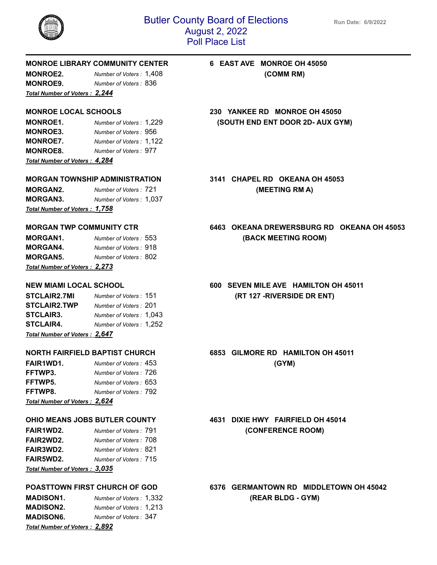

## **MONROE LIBRARY COMMUNITY CENTER 6 EAST AVE MONROE OH 45050**

**MONROE2.** *Number of Voters :* 1,408 **(COMM RM) MONROE9.** *Number of Voters :* 836 *Total Number of Voters : 2,244*

**MONROE3.** *Number of Voters :* 956 **MONROE7.** *Number of Voters :* 1,122 **MONROE8.** *Number of Voters :* 977 *Total Number of Voters : 4,284*

**MORGAN2.** *Number of Voters :* 721 **(MEETING RM A) MORGAN3.** *Number of Voters :* 1,037 *Total Number of Voters : 1,758*

| Total Number of Voters: 2,273 |                       |  |
|-------------------------------|-----------------------|--|
| <b>MORGAN5.</b>               | Number of Voters: 802 |  |
| MORGAN4.                      | Number of Voters: 918 |  |
| MORGAN1.                      | Number of Voters: 553 |  |

| <b>STCLAIR2.7MI</b>                    | Number of Voters: 151   |
|----------------------------------------|-------------------------|
| <b>STCLAIR2.TWP</b>                    | Number of Voters: 201   |
| <b>STCLAIR3.</b>                       | Number of Voters: 1.043 |
| <b>STCLAIR4.</b>                       | Number of Voters: 1.252 |
| $Total$ Number of Votoro $\cdot$ 2.647 |                         |

*Total Number of Voters : 2,647*

| FAIR1WD1.                     | Number of Voters: 453 | (GYM) |
|-------------------------------|-----------------------|-------|
| FFTWP3.                       | Number of Voters: 726 |       |
| FFTWP5.                       | Number of Voters: 653 |       |
| FFTWP8.                       | Number of Voters: 792 |       |
| Total Number of Voters: 2,624 |                       |       |

| <b>FAIR1WD2.</b>               | Number of Voters: 791 |
|--------------------------------|-----------------------|
| <b>FAIR2WD2.</b>               | Number of Voters: 708 |
| <b>FAIR3WD2.</b>               | Number of Voters: 821 |
| <b>FAIR5WD2.</b>               | Number of Voters: 715 |
| Total Number of Voters : 3,035 |                       |

| <b>MADISON1.</b>              | Number of Voters: 1,332 |
|-------------------------------|-------------------------|
| <b>MADISON2.</b>              | Number of Voters: 1,213 |
| <b>MADISON6.</b>              | Number of Voters: 347   |
| Total Number of Voters: 2,892 |                         |

**MONROE LOCAL SCHOOLS 230 YANKEE RD MONROE OH 45050 MONROE1.** *Number of Voters :* 1,229 **(SOUTH END ENT DOOR 2D- AUX GYM)**

**MORGAN TOWNSHIP ADMINISTRATION 3141 CHAPEL RD OKEANA OH 45053**

## **MORGAN TWP COMMUNITY CTR 6463 OKEANA DREWERSBURG RD OKEANA OH 45053 MORGAN1.** *Number of Voters :* 553 **(BACK MEETING ROOM)**

**NEW MIAMI LOCAL SCHOOL 600 SEVEN MILE AVE HAMILTON OH 45011 STCLAIR2.7MI** *Number of Voters :* 151 **(RT 127 -RIVERSIDE DR ENT)**

**NORTH FAIRFIELD BAPTIST CHURCH 6853 GILMORE RD HAMILTON OH 45011**

**OHIO MEANS JOBS BUTLER COUNTY 4631 DIXIE HWY FAIRFIELD OH 45014 FAIR1WD2.** *Number of Voters :* 791 **(CONFERENCE ROOM)**

**POASTTOWN FIRST CHURCH OF GOD 6376 GERMANTOWN RD MIDDLETOWN OH 45042 MADISON1.** *Number of Voters :* 1,332 **(REAR BLDG - GYM)**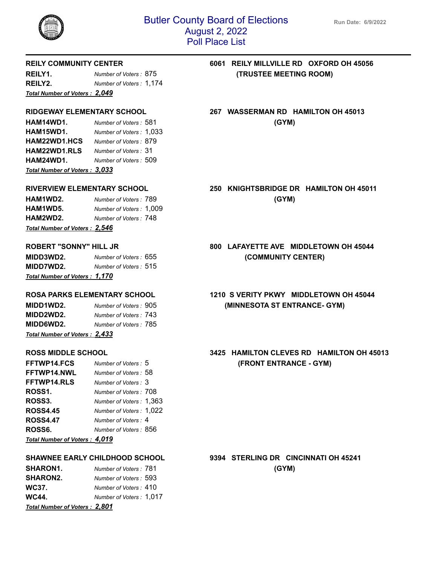

| Total Number of Voters: 2,049 |                         |  |
|-------------------------------|-------------------------|--|
| REILY2.                       | Number of Voters: 1,174 |  |
| REILY1.                       | Number of Voters: 875   |  |

**HAM14WD1.** *Number of Voters :* 581 **(GYM) HAM15WD1.** *Number of Voters :* 1,033 **HAM22WD1.HCS** *Number of Voters :* 879 **HAM22WD1.RLS** *Number of Voters :* 31 **HAM24WD1.** *Number of Voters :* 509 *Total Number of Voters : 3,033*

| HAM1WD2.                      | Number of Voters: 789   | (GYM) |
|-------------------------------|-------------------------|-------|
| HAM1WD5.                      | Number of Voters: 1,009 |       |
| HAM2WD2.                      | Number of Voters : 748  |       |
| Total Number of Voters: 2,546 |                         |       |

| <u> Total Number of Voters : </u> 1,170 |                       |  |
|-----------------------------------------|-----------------------|--|
| <b>MIDD7WD2.</b>                        | Number of Voters: 515 |  |
| <b>MIDD3WD2.</b>                        | Number of Voters: 655 |  |

| MIDD1WD2.                             | Number of Voters: 905  |  |
|---------------------------------------|------------------------|--|
| MIDD2WD2.                             | Number of Voters : 743 |  |
| <b>MIDD6WD2.</b>                      | Number of Voters: 785  |  |
| <b>Total Number of Voters : 2,433</b> |                        |  |

| <b>FFTWP14.FCS</b>                  | Number of Voters: 5     |
|-------------------------------------|-------------------------|
| FFTWP14.NWL                         | Number of Voters: 58    |
| <b>FFTWP14.RLS</b>                  | Number of Voters: 3     |
| ROSS1.                              | Number of Voters: 708   |
| ROSS3.                              | Number of Voters: 1,363 |
| <b>ROSS4.45</b>                     | Number of Voters: 1,022 |
| <b>ROSS4.47</b>                     | Number of Voters: 4     |
| ROSS6.                              | Number of Voters : 856  |
| $\cdots$ $\cdots$ $\cdots$ $\cdots$ |                         |

*Total Number of Voters : 4,019*

| <b>SHARON1.</b>               | Number of Voters: 781   | (GYM) |
|-------------------------------|-------------------------|-------|
| <b>SHARON2.</b>               | Number of Voters: 593   |       |
| WC37.                         | Number of Voters: 410   |       |
| WC44.                         | Number of Voters: 1.017 |       |
| Total Number of Voters: 2,801 |                         |       |

## **REILY COMMUNITY CENTER 6061 REILY MILLVILLE RD OXFORD OH 45056 (TRUSTEE MEETING ROOM)**

## **RIDGEWAY ELEMENTARY SCHOOL 267 WASSERMAN RD HAMILTON OH 45013**

# **RIVERVIEW ELEMENTARY SCHOOL 250 KNIGHTSBRIDGE DR HAMILTON OH 45011**

## **ROBERT "SONNY" HILL JR 800 LAFAYETTE AVE MIDDLETOWN OH 45044 MIDD3WD2.** *Number of Voters :* 655 **(COMMUNITY CENTER)**

## **ROSA PARKS ELEMENTARY SCHOOL 1210 S VERITY PKWY MIDDLETOWN OH 45044 MIDD1WD2.** *Number of Voters :* 905 **(MINNESOTA ST ENTRANCE- GYM)**

## **ROSS MIDDLE SCHOOL 3425 HAMILTON CLEVES RD HAMILTON OH 45013 (FRONT ENTRANCE - GYM)**

**SHAWNEE EARLY CHILDHOOD SCHOOL 9394 STERLING DR CINCINNATI OH 45241**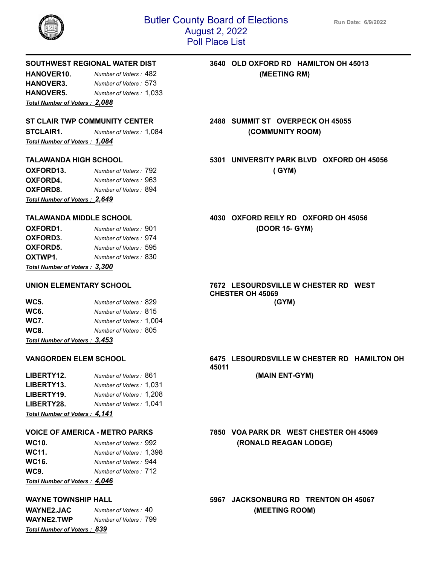

**HANOVER10.** *Number of Voters :* 482 **(MEETING RM) HANOVER3.** *Number of Voters :* 573 **HANOVER5.** *Number of Voters :* 1,033 *Total Number of Voters : 2,088*

**STCLAIR1.** *Number of Voters :* 1,084 **(COMMUNITY ROOM)** *Total Number of Voters : 1,084*

| OXFORD13.                     | Number of Voters: 792  | (GYM) |
|-------------------------------|------------------------|-------|
| OXFORD4.                      | Number of Voters : 963 |       |
| OXFORD8.                      | Number of Voters: 894  |       |
| Total Number of Voters: 2,649 |                        |       |

| Total Number of Voters: 3,300 |                       |  |
|-------------------------------|-----------------------|--|
| OXTWP1.                       | Number of Voters: 830 |  |
| OXFORD5.                      | Number of Voters: 595 |  |
| OXFORD3.                      | Number of Voters: 974 |  |
| OXFORD1.                      | Number of Voters: 901 |  |

| <b>WC5.</b>                            | Number of Voters: 829   | (GYM) |
|----------------------------------------|-------------------------|-------|
| <b>WC6.</b>                            | Number of Voters: 815   |       |
| <b>WC7.</b>                            | Number of Voters: 1,004 |       |
| <b>WC8.</b>                            | Number of Voters: 805   |       |
| <u> Total Number of Voters : 3,453</u> |                         |       |

| LIBERTY12.                     | Number of Voters: 861   |  |
|--------------------------------|-------------------------|--|
| LIBERTY13.                     | Number of Voters: 1,031 |  |
| LIBERTY19.                     | Number of Voters: 1,208 |  |
| LIBERTY28.                     | Number of Voters: 1,041 |  |
| Total Number of Voters : 4,141 |                         |  |

| Total Number of Voters : 4,046 |                         |  |
|--------------------------------|-------------------------|--|
| <b>WC9.</b>                    | Number of Voters : 712  |  |
| WC <sub>16</sub> .             | Number of Voters: 944   |  |
| WC11.                          | Number of Voters: 1,398 |  |
| <b>WC10.</b>                   | Number of Voters: 992   |  |

| <b>WAYNE2.JAC</b>                  | Number of Voters : 40 |
|------------------------------------|-----------------------|
| <b>WAYNE2.TWP</b>                  | Number of Voters: 799 |
| <b>Total Number of Voters: 839</b> |                       |

## **SOUTHWEST REGIONAL WATER DIST 3640 OLD OXFORD RD HAMILTON OH 45013**

## **ST CLAIR TWP COMMUNITY CENTER 2488 SUMMIT ST OVERPECK OH 45055**

**TALAWANDA HIGH SCHOOL 5301 UNIVERSITY PARK BLVD OXFORD OH 45056**

**TALAWANDA MIDDLE SCHOOL 4030 OXFORD REILY RD OXFORD OH 45056 OXFORD1.** *Number of Voters :* 901 **(DOOR 15- GYM)**

## **UNION ELEMENTARY SCHOOL 7672 LESOURDSVILLE W CHESTER RD WEST CHESTER OH 45069**

## **VANGORDEN ELEM SCHOOL 6475 LESOURDSVILLE W CHESTER RD HAMILTON OH 45011**

**LIBERTY12.** *Number of Voters :* 861 **(MAIN ENT-GYM)**

## **VOICE OF AMERICA - METRO PARKS 7850 VOA PARK DR WEST CHESTER OH 45069 WC10.** *Number of Voters :* 992 **(RONALD REAGAN LODGE)**

**WAYNE TOWNSHIP HALL 5967 JACKSONBURG RD TRENTON OH 45067 WAYNE2.JAC** *Number of Voters :* 40 **(MEETING ROOM)**